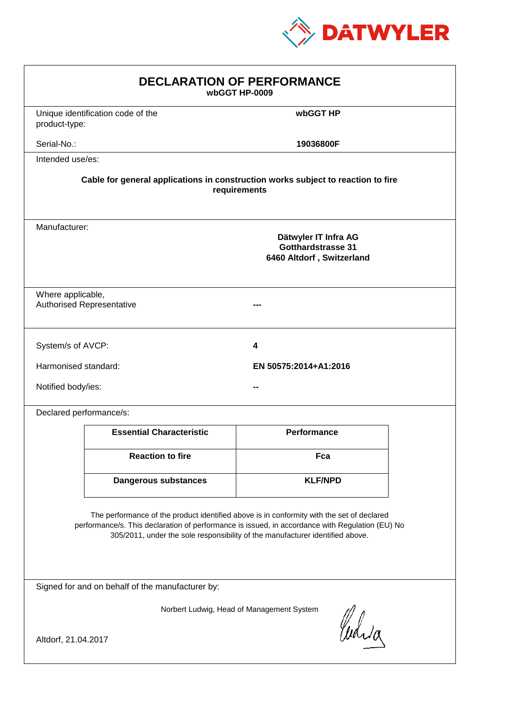

| <b>DECLARATION OF PERFORMANCE</b><br>wbGGT HP-0009                                                                                                                                                                                                                            |                                                                                                 |                       |  |  |  |
|-------------------------------------------------------------------------------------------------------------------------------------------------------------------------------------------------------------------------------------------------------------------------------|-------------------------------------------------------------------------------------------------|-----------------------|--|--|--|
| product-type:                                                                                                                                                                                                                                                                 | Unique identification code of the                                                               | wbGGT HP              |  |  |  |
| Serial-No.:                                                                                                                                                                                                                                                                   |                                                                                                 | 19036800F             |  |  |  |
| Intended use/es:                                                                                                                                                                                                                                                              |                                                                                                 |                       |  |  |  |
| Cable for general applications in construction works subject to reaction to fire<br>requirements                                                                                                                                                                              |                                                                                                 |                       |  |  |  |
|                                                                                                                                                                                                                                                                               | Manufacturer:<br>Dätwyler IT Infra AG<br><b>Gotthardstrasse 31</b><br>6460 Altdorf, Switzerland |                       |  |  |  |
|                                                                                                                                                                                                                                                                               | Where applicable,<br><b>Authorised Representative</b>                                           |                       |  |  |  |
| System/s of AVCP:                                                                                                                                                                                                                                                             |                                                                                                 | 4                     |  |  |  |
| Harmonised standard:                                                                                                                                                                                                                                                          |                                                                                                 | EN 50575:2014+A1:2016 |  |  |  |
| Notified body/ies:                                                                                                                                                                                                                                                            |                                                                                                 |                       |  |  |  |
| Declared performance/s:                                                                                                                                                                                                                                                       |                                                                                                 |                       |  |  |  |
|                                                                                                                                                                                                                                                                               | <b>Essential Characteristic</b>                                                                 | <b>Performance</b>    |  |  |  |
|                                                                                                                                                                                                                                                                               | <b>Reaction to fire</b>                                                                         | Fca                   |  |  |  |
|                                                                                                                                                                                                                                                                               | <b>Dangerous substances</b>                                                                     | <b>KLF/NPD</b>        |  |  |  |
| The performance of the product identified above is in conformity with the set of declared<br>performance/s. This declaration of performance is issued, in accordance with Regulation (EU) No<br>305/2011, under the sole responsibility of the manufacturer identified above. |                                                                                                 |                       |  |  |  |
| Signed for and on behalf of the manufacturer by:                                                                                                                                                                                                                              |                                                                                                 |                       |  |  |  |
| Norbert Ludwig, Head of Management System<br>Curia<br>Altdorf, 21.04.2017                                                                                                                                                                                                     |                                                                                                 |                       |  |  |  |
|                                                                                                                                                                                                                                                                               |                                                                                                 |                       |  |  |  |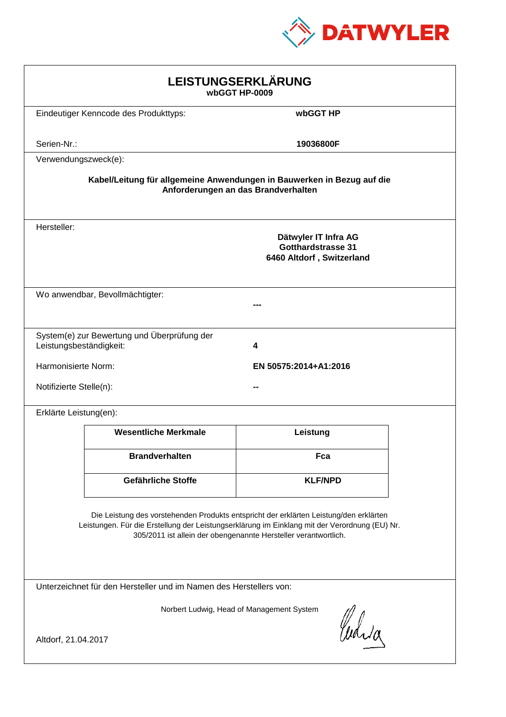

| LEISTUNGSERKLÄRUNG<br>wbGGT HP-0009                                                                                                                                                                                                                        |                                                                                |                                     |  |  |
|------------------------------------------------------------------------------------------------------------------------------------------------------------------------------------------------------------------------------------------------------------|--------------------------------------------------------------------------------|-------------------------------------|--|--|
|                                                                                                                                                                                                                                                            | Eindeutiger Kenncode des Produkttyps:                                          | wbGGT HP                            |  |  |
| Serien-Nr.:                                                                                                                                                                                                                                                |                                                                                | 19036800F                           |  |  |
| Verwendungszweck(e):                                                                                                                                                                                                                                       |                                                                                |                                     |  |  |
|                                                                                                                                                                                                                                                            | Kabel/Leitung für allgemeine Anwendungen in Bauwerken in Bezug auf die         | Anforderungen an das Brandverhalten |  |  |
| Hersteller:                                                                                                                                                                                                                                                | Dätwyler IT Infra AG<br><b>Gotthardstrasse 31</b><br>6460 Altdorf, Switzerland |                                     |  |  |
|                                                                                                                                                                                                                                                            | Wo anwendbar, Bevollmächtigter:                                                |                                     |  |  |
| Leistungsbeständigkeit:                                                                                                                                                                                                                                    | System(e) zur Bewertung und Überprüfung der                                    | 4                                   |  |  |
|                                                                                                                                                                                                                                                            | Harmonisierte Norm:<br>EN 50575:2014+A1:2016                                   |                                     |  |  |
|                                                                                                                                                                                                                                                            | Notifizierte Stelle(n):                                                        |                                     |  |  |
| Erklärte Leistung(en):                                                                                                                                                                                                                                     |                                                                                |                                     |  |  |
|                                                                                                                                                                                                                                                            | <b>Wesentliche Merkmale</b>                                                    | Leistung                            |  |  |
|                                                                                                                                                                                                                                                            | <b>Brandverhalten</b>                                                          | Fca                                 |  |  |
|                                                                                                                                                                                                                                                            | Gefährliche Stoffe                                                             | <b>KLF/NPD</b>                      |  |  |
| Die Leistung des vorstehenden Produkts entspricht der erklärten Leistung/den erklärten<br>Leistungen. Für die Erstellung der Leistungserklärung im Einklang mit der Verordnung (EU) Nr.<br>305/2011 ist allein der obengenannte Hersteller verantwortlich. |                                                                                |                                     |  |  |
| Unterzeichnet für den Hersteller und im Namen des Herstellers von:                                                                                                                                                                                         |                                                                                |                                     |  |  |
| Norbert Ludwig, Head of Management System<br>Curia                                                                                                                                                                                                         |                                                                                |                                     |  |  |
| Altdorf, 21.04.2017                                                                                                                                                                                                                                        |                                                                                |                                     |  |  |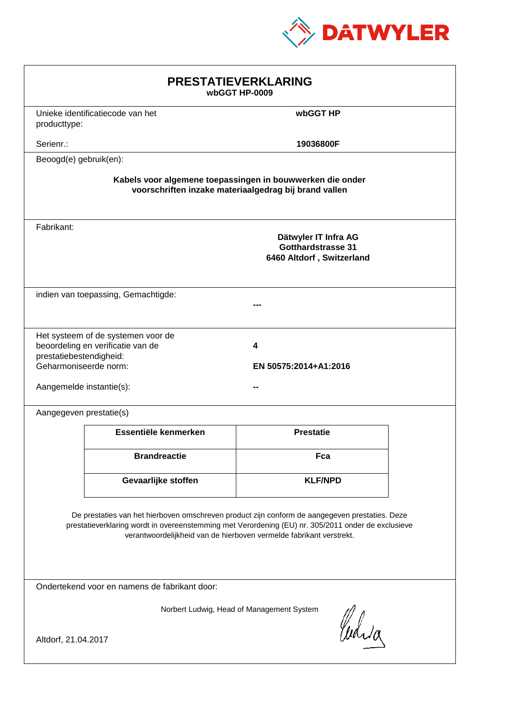

| <b>PRESTATIEVERKLARING</b><br>wbGGT HP-0009                                                                                                                                                                                                                                 |                                                                         |                                                                                |  |  |
|-----------------------------------------------------------------------------------------------------------------------------------------------------------------------------------------------------------------------------------------------------------------------------|-------------------------------------------------------------------------|--------------------------------------------------------------------------------|--|--|
| producttype:                                                                                                                                                                                                                                                                | Unieke identificatiecode van het                                        | wbGGT HP                                                                       |  |  |
| Serienr.:                                                                                                                                                                                                                                                                   |                                                                         | 19036800F                                                                      |  |  |
| Beoogd(e) gebruik(en):                                                                                                                                                                                                                                                      |                                                                         |                                                                                |  |  |
| Kabels voor algemene toepassingen in bouwwerken die onder<br>voorschriften inzake materiaalgedrag bij brand vallen                                                                                                                                                          |                                                                         |                                                                                |  |  |
| Fabrikant:                                                                                                                                                                                                                                                                  |                                                                         | Dätwyler IT Infra AG<br><b>Gotthardstrasse 31</b><br>6460 Altdorf, Switzerland |  |  |
|                                                                                                                                                                                                                                                                             | indien van toepassing, Gemachtigde:                                     |                                                                                |  |  |
| prestatiebestendigheid:<br>Geharmoniseerde norm:<br>Aangemelde instantie(s):                                                                                                                                                                                                | Het systeem of de systemen voor de<br>beoordeling en verificatie van de | 4<br>EN 50575:2014+A1:2016                                                     |  |  |
| Aangegeven prestatie(s)                                                                                                                                                                                                                                                     |                                                                         |                                                                                |  |  |
|                                                                                                                                                                                                                                                                             | Essentiële kenmerken                                                    | <b>Prestatie</b>                                                               |  |  |
|                                                                                                                                                                                                                                                                             | <b>Brandreactie</b>                                                     | Fca                                                                            |  |  |
|                                                                                                                                                                                                                                                                             | Gevaarlijke stoffen                                                     | <b>KLF/NPD</b>                                                                 |  |  |
| De prestaties van het hierboven omschreven product zijn conform de aangegeven prestaties. Deze<br>prestatieverklaring wordt in overeenstemming met Verordening (EU) nr. 305/2011 onder de exclusieve<br>verantwoordelijkheid van de hierboven vermelde fabrikant verstrekt. |                                                                         |                                                                                |  |  |
| Ondertekend voor en namens de fabrikant door:                                                                                                                                                                                                                               |                                                                         |                                                                                |  |  |
| Norbert Ludwig, Head of Management System<br>Curia<br>Altdorf, 21.04.2017                                                                                                                                                                                                   |                                                                         |                                                                                |  |  |
|                                                                                                                                                                                                                                                                             |                                                                         |                                                                                |  |  |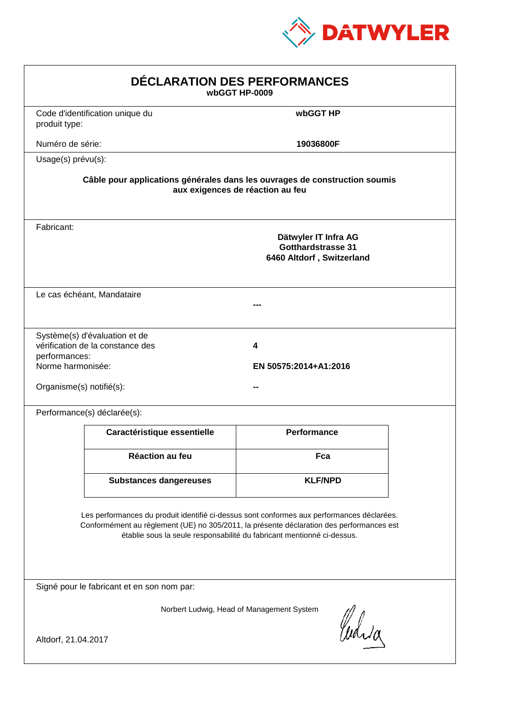

| DÉCLARATION DES PERFORMANCES<br>wbGGT HP-0009                                                                                                                                                                                                                    |                                                                                                                |                                                                                |  |  |  |
|------------------------------------------------------------------------------------------------------------------------------------------------------------------------------------------------------------------------------------------------------------------|----------------------------------------------------------------------------------------------------------------|--------------------------------------------------------------------------------|--|--|--|
| produit type:                                                                                                                                                                                                                                                    | Code d'identification unique du                                                                                | wbGGT HP                                                                       |  |  |  |
| Numéro de série:                                                                                                                                                                                                                                                 |                                                                                                                | 19036800F                                                                      |  |  |  |
| Usage(s) prévu(s):                                                                                                                                                                                                                                               |                                                                                                                |                                                                                |  |  |  |
|                                                                                                                                                                                                                                                                  | Câble pour applications générales dans les ouvrages de construction soumis<br>aux exigences de réaction au feu |                                                                                |  |  |  |
| Fabricant:                                                                                                                                                                                                                                                       |                                                                                                                | Dätwyler IT Infra AG<br><b>Gotthardstrasse 31</b><br>6460 Altdorf, Switzerland |  |  |  |
|                                                                                                                                                                                                                                                                  | Le cas échéant, Mandataire                                                                                     |                                                                                |  |  |  |
| performances:<br>Norme harmonisée:<br>Organisme(s) notifié(s):                                                                                                                                                                                                   | Système(s) d'évaluation et de<br>vérification de la constance des                                              | 4<br>EN 50575:2014+A1:2016                                                     |  |  |  |
|                                                                                                                                                                                                                                                                  | Performance(s) déclarée(s):                                                                                    |                                                                                |  |  |  |
|                                                                                                                                                                                                                                                                  | Caractéristique essentielle                                                                                    | Performance                                                                    |  |  |  |
|                                                                                                                                                                                                                                                                  | Réaction au feu                                                                                                | Fca                                                                            |  |  |  |
|                                                                                                                                                                                                                                                                  | <b>Substances dangereuses</b>                                                                                  | <b>KLF/NPD</b>                                                                 |  |  |  |
| Les performances du produit identifié ci-dessus sont conformes aux performances déclarées.<br>Conformément au règlement (UE) no 305/2011, la présente déclaration des performances est<br>établie sous la seule responsabilité du fabricant mentionné ci-dessus. |                                                                                                                |                                                                                |  |  |  |
|                                                                                                                                                                                                                                                                  | Signé pour le fabricant et en son nom par:                                                                     |                                                                                |  |  |  |
| Norbert Ludwig, Head of Management System<br>Curia<br>Altdorf, 21.04.2017                                                                                                                                                                                        |                                                                                                                |                                                                                |  |  |  |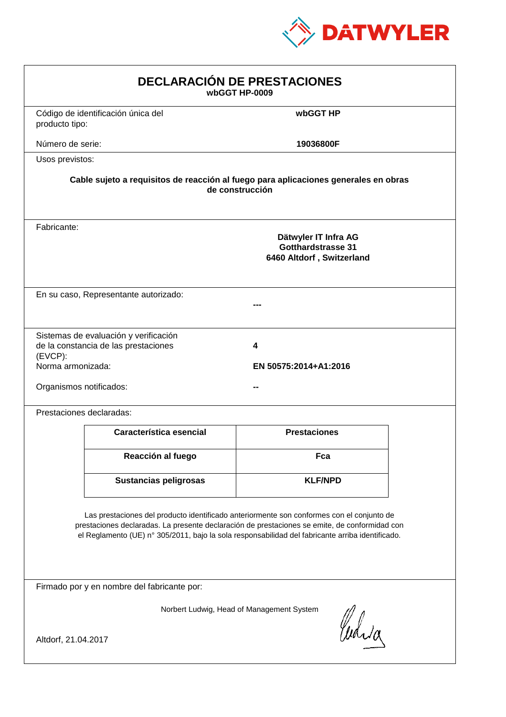

| <b>DECLARACIÓN DE PRESTACIONES</b><br>wbGGT HP-0009                                                                                                                                                                                                                                            |                                                                                                        |                            |  |  |  |
|------------------------------------------------------------------------------------------------------------------------------------------------------------------------------------------------------------------------------------------------------------------------------------------------|--------------------------------------------------------------------------------------------------------|----------------------------|--|--|--|
| producto tipo:                                                                                                                                                                                                                                                                                 | Código de identificación única del                                                                     | wbGGT HP                   |  |  |  |
| Número de serie:                                                                                                                                                                                                                                                                               |                                                                                                        | 19036800F                  |  |  |  |
| Usos previstos:                                                                                                                                                                                                                                                                                |                                                                                                        |                            |  |  |  |
|                                                                                                                                                                                                                                                                                                | Cable sujeto a requisitos de reacción al fuego para aplicaciones generales en obras<br>de construcción |                            |  |  |  |
| Fabricante:                                                                                                                                                                                                                                                                                    | Dätwyler IT Infra AG<br>Gotthardstrasse 31<br>6460 Altdorf, Switzerland                                |                            |  |  |  |
|                                                                                                                                                                                                                                                                                                | En su caso, Representante autorizado:                                                                  |                            |  |  |  |
| (EVCP):<br>Norma armonizada:<br>Organismos notificados:                                                                                                                                                                                                                                        | Sistemas de evaluación y verificación<br>de la constancia de las prestaciones                          | 4<br>EN 50575:2014+A1:2016 |  |  |  |
|                                                                                                                                                                                                                                                                                                | Prestaciones declaradas:                                                                               |                            |  |  |  |
|                                                                                                                                                                                                                                                                                                | Característica esencial                                                                                | <b>Prestaciones</b>        |  |  |  |
|                                                                                                                                                                                                                                                                                                | Reacción al fuego                                                                                      | Fca                        |  |  |  |
|                                                                                                                                                                                                                                                                                                | Sustancias peligrosas                                                                                  | <b>KLF/NPD</b>             |  |  |  |
| Las prestaciones del producto identificado anteriormente son conformes con el conjunto de<br>prestaciones declaradas. La presente declaración de prestaciones se emite, de conformidad con<br>el Reglamento (UE) nº 305/2011, bajo la sola responsabilidad del fabricante arriba identificado. |                                                                                                        |                            |  |  |  |
|                                                                                                                                                                                                                                                                                                | Firmado por y en nombre del fabricante por:                                                            |                            |  |  |  |
| Norbert Ludwig, Head of Management System<br>Curia<br>Altdorf, 21.04.2017                                                                                                                                                                                                                      |                                                                                                        |                            |  |  |  |